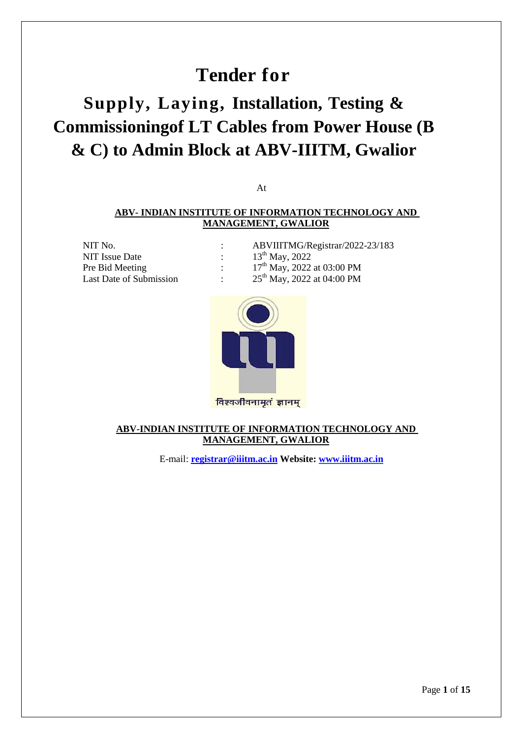# **Tender for**

# **Supply, Laying, Installation, Testing & Commissioningof LT Cables from Power House (B & C) to Admin Block at ABV-IIITM, Gwalior**

At

### **ABV- INDIAN INSTITUTE OF INFORMATION TECHNOLOGY AND MANAGEMENT, GWALIOR**

NIT Issue Date :  $13^{th}$  May, 2022 Pre Bid Meeting :<br>Last Date of Submission :

NIT No. : ABVIIITMG/Registrar/2022-23/183 17<sup>th</sup> May, 2022 at 03:00 PM :  $25^{th}$  May, 2022 at 04:00 PM



## **ABV-INDIAN INSTITUTE OF INFORMATION TECHNOLOGY AND MANAGEMENT, GWALIOR**

E-mail: **[registrar@iiitm.ac.in](mailto:registrar@iiitm.ac.in) Website[: www.iiitm.ac.in](http://www.iiitm.ac.in/)**

Page **1** of **15**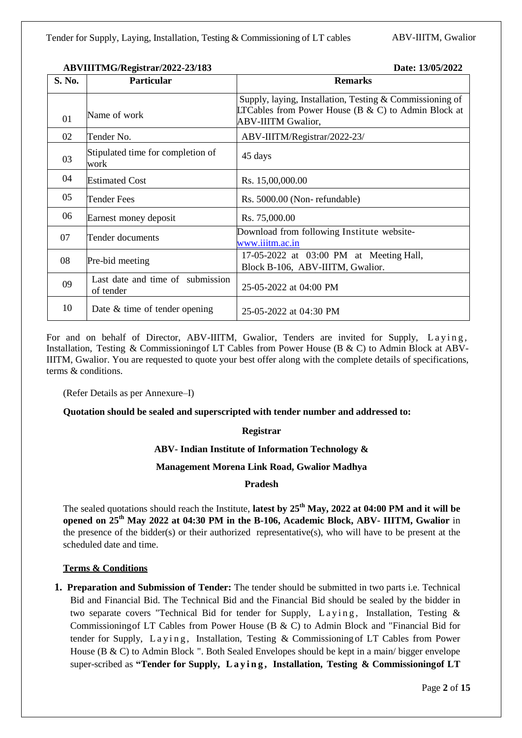| S. No. | <b>Particular</b>                             | <b>Remarks</b>                                                                                                                                      |  |  |  |
|--------|-----------------------------------------------|-----------------------------------------------------------------------------------------------------------------------------------------------------|--|--|--|
| 01     | Name of work                                  | Supply, laying, Installation, Testing $&$ Commissioning of<br>LTCables from Power House ( $B \& C$ ) to Admin Block at<br><b>ABV-IIITM Gwalior,</b> |  |  |  |
| 02     | Tender No.                                    | ABV-IIITM/Registrar/2022-23/                                                                                                                        |  |  |  |
| 03     | Stipulated time for completion of<br>work     | 45 days                                                                                                                                             |  |  |  |
| 04     | <b>Estimated Cost</b>                         | Rs. 15,00,000.00                                                                                                                                    |  |  |  |
| 05     | Tender Fees                                   | Rs. 5000.00 (Non-refundable)                                                                                                                        |  |  |  |
| 06     | Earnest money deposit                         | Rs. 75,000.00                                                                                                                                       |  |  |  |
| 07     | Tender documents                              | Download from following Institute website-<br>www.iiitm.ac.in                                                                                       |  |  |  |
| 08     | Pre-bid meeting                               | 17-05-2022 at 03:00 PM at Meeting Hall,<br>Block B-106, ABV-IIITM, Gwalior.                                                                         |  |  |  |
| 09     | Last date and time of submission<br>of tender | 25-05-2022 at 04:00 PM                                                                                                                              |  |  |  |
| 10     | Date $&$ time of tender opening               | 25-05-2022 at 04:30 PM                                                                                                                              |  |  |  |

For and on behalf of Director, ABV-IIITM, Gwalior, Tenders are invited for Supply, Laving, Installation, Testing & Commissioningof LT Cables from Power House (B & C) to Admin Block at ABV-IIITM, Gwalior. You are requested to quote your best offer along with the complete details of specifications, terms & conditions.

(Refer Details as per Annexure–I)

### **Quotation should be sealed and superscripted with tender number and addressed to:**

### **Registrar**

### **ABV- Indian Institute of Information Technology &**

### **Management Morena Link Road, Gwalior Madhya**

### **Pradesh**

The sealed quotations should reach the Institute, **latest by 25th May, 2022 at 04:00 PM and it will be opened on 25th May 2022 at 04:30 PM in the B-106, Academic Block, ABV- IIITM, Gwalior** in the presence of the bidder(s) or their authorized representative(s), who will have to be present at the scheduled date and time.

### **Terms & Conditions**

**1. Preparation and Submission of Tender:** The tender should be submitted in two parts i.e. Technical Bid and Financial Bid. The Technical Bid and the Financial Bid should be sealed by the bidder in two separate covers "Technical Bid for tender for Supply, Laying, Installation, Testing  $\&$ Commissioningof LT Cables from Power House (B & C) to Admin Block and "Financial Bid for tender for Supply,  $Laying$ , Installation, Testing & Commissioning of LT Cables from Power House (B & C) to Admin Block ". Both Sealed Envelopes should be kept in a main/ bigger envelope super-scribed as **"Tender for Supply, L a y i n g , Installation, Testing & Commissioningof LT**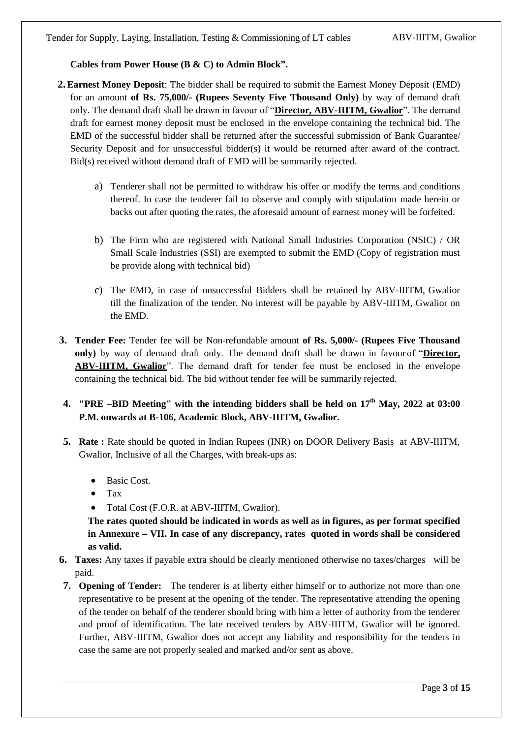# **Cables from Power House (B & C) to Admin Block".**

- **2.Earnest Money Deposit**: The bidder shall be required to submit the Earnest Money Deposit (EMD) for an amount **of Rs. 75,000/- (Rupees Seventy Five Thousand Only)** by way of demand draft only. The demand draft shall be drawn in favour of "**Director, ABV-IIITM, Gwalior**". The demand draft for earnest money deposit must be enclosed in the envelope containing the technical bid. The EMD of the successful bidder shall be returned after the successful submission of Bank Guarantee/ Security Deposit and for unsuccessful bidder(s) it would be returned after award of the contract. Bid(s) received without demand draft of EMD will be summarily rejected.
	- a) Tenderer shall not be permitted to withdraw his offer or modify the terms and conditions thereof. In case the tenderer fail to observe and comply with stipulation made herein or backs out after quoting the rates, the aforesaid amount of earnest money will be forfeited.
	- b) The Firm who are registered with National Small Industries Corporation (NSIC) / OR Small Scale Industries (SSI) are exempted to submit the EMD (Copy of registration must be provide along with technical bid)
	- c) The EMD, in case of unsuccessful Bidders shall be retained by ABV-IIITM, Gwalior till the finalization of the tender. No interest will be payable by ABV-IIITM, Gwalior on the EMD.
- **3. Tender Fee:** Tender fee will be Non-refundable amount **of Rs. 5,000/- (Rupees Five Thousand only)** by way of demand draft only. The demand draft shall be drawn in favour of "**Director, ABV-IIITM, Gwalior**". The demand draft for tender fee must be enclosed in the envelope containing the technical bid. The bid without tender fee will be summarily rejected.

# **4. "PRE –BID Meeting" with the intending bidders shall be held on 17 th May, 2022 at 03:00 P.M. onwards at B-106, Academic Block, ABV-IIITM, Gwalior.**

- **5. Rate :** Rate should be quoted in Indian Rupees (INR) on DOOR Delivery Basis at ABV-IIITM, Gwalior, Inclusive of all the Charges, with break-ups as:
	- $\bullet$  Basic Cost.
	- Tax
	- Total Cost (F.O.R. at ABV-IIITM, Gwalior).

**The rates quoted should be indicated in words as well as in figures, as per format specified in Annexure – VII. In case of any discrepancy, rates quoted in words shall be considered as valid.**

- **6. Taxes:** Any taxes if payable extra should be clearly mentioned otherwise no taxes/charges will be paid.
- **7. Opening of Tender:** The tenderer is at liberty either himself or to authorize not more than one representative to be present at the opening of the tender. The representative attending the opening of the tender on behalf of the tenderer should bring with him a letter of authority from the tenderer and proof of identification. The late received tenders by ABV-IIITM, Gwalior will be ignored. Further, ABV-IIITM, Gwalior does not accept any liability and responsibility for the tenders in case the same are not properly sealed and marked and/or sent as above.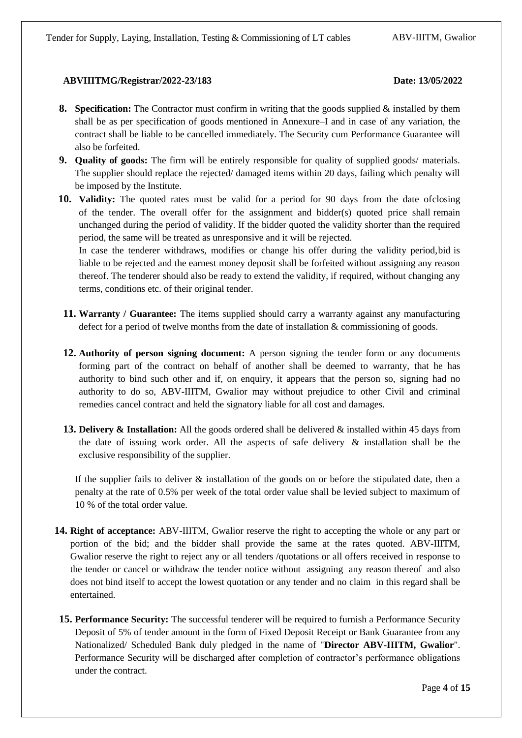- **8. Specification:** The Contractor must confirm in writing that the goods supplied & installed by them shall be as per specification of goods mentioned in Annexure–I and in case of any variation, the contract shall be liable to be cancelled immediately. The Security cum Performance Guarantee will also be forfeited.
- **9. Quality of goods:** The firm will be entirely responsible for quality of supplied goods/ materials. The supplier should replace the rejected/ damaged items within 20 days, failing which penalty will be imposed by the Institute.
- **10. Validity:** The quoted rates must be valid for a period for 90 days from the date ofclosing of the tender. The overall offer for the assignment and bidder(s) quoted price shall remain unchanged during the period of validity. If the bidder quoted the validity shorter than the required period, the same will be treated as unresponsive and it will be rejected.

In case the tenderer withdraws, modifies or change his offer during the validity period,bid is liable to be rejected and the earnest money deposit shall be forfeited without assigning any reason thereof. The tenderer should also be ready to extend the validity, if required, without changing any terms, conditions etc. of their original tender.

- **11. Warranty / Guarantee:** The items supplied should carry a warranty against any manufacturing defect for a period of twelve months from the date of installation & commissioning of goods.
- **12. Authority of person signing document:** A person signing the tender form or any documents forming part of the contract on behalf of another shall be deemed to warranty, that he has authority to bind such other and if, on enquiry, it appears that the person so, signing had no authority to do so, ABV-IIITM, Gwalior may without prejudice to other Civil and criminal remedies cancel contract and held the signatory liable for all cost and damages.
- **13. Delivery & Installation:** All the goods ordered shall be delivered & installed within 45 days from the date of issuing work order. All the aspects of safe delivery & installation shall be the exclusive responsibility of the supplier.

If the supplier fails to deliver & installation of the goods on or before the stipulated date, then a penalty at the rate of 0.5% per week of the total order value shall be levied subject to maximum of 10 % of the total order value.

- **14. Right of acceptance:** ABV-IIITM, Gwalior reserve the right to accepting the whole or any part or portion of the bid; and the bidder shall provide the same at the rates quoted. ABV-IIITM, Gwalior reserve the right to reject any or all tenders /quotations or all offers received in response to the tender or cancel or withdraw the tender notice without assigning any reason thereof and also does not bind itself to accept the lowest quotation or any tender and no claim in this regard shall be entertained.
- **15. Performance Security:** The successful tenderer will be required to furnish a Performance Security Deposit of 5% of tender amount in the form of Fixed Deposit Receipt or Bank Guarantee from any Nationalized/ Scheduled Bank duly pledged in the name of "**Director ABV-IIITM, Gwalior**". Performance Security will be discharged after completion of contractor's performance obligations under the contract.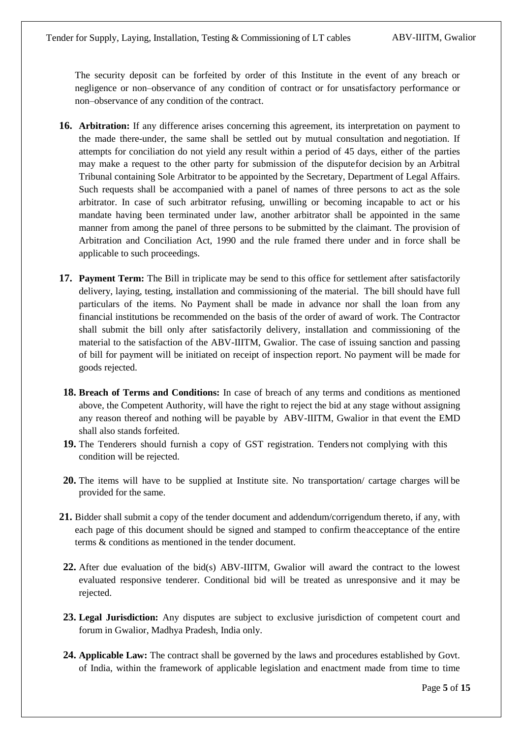The security deposit can be forfeited by order of this Institute in the event of any breach or negligence or non–observance of any condition of contract or for unsatisfactory performance or non–observance of any condition of the contract.

- **16. Arbitration:** If any difference arises concerning this agreement, its interpretation on payment to the made there-under, the same shall be settled out by mutual consultation and negotiation. If attempts for conciliation do not yield any result within a period of 45 days, either of the parties may make a request to the other party for submission of the disputefor decision by an Arbitral Tribunal containing Sole Arbitrator to be appointed by the Secretary, Department of Legal Affairs. Such requests shall be accompanied with a panel of names of three persons to act as the sole arbitrator. In case of such arbitrator refusing, unwilling or becoming incapable to act or his mandate having been terminated under law, another arbitrator shall be appointed in the same manner from among the panel of three persons to be submitted by the claimant. The provision of Arbitration and Conciliation Act, 1990 and the rule framed there under and in force shall be applicable to such proceedings.
- **17. Payment Term:** The Bill in triplicate may be send to this office for settlement after satisfactorily delivery, laying, testing, installation and commissioning of the material. The bill should have full particulars of the items. No Payment shall be made in advance nor shall the loan from any financial institutions be recommended on the basis of the order of award of work. The Contractor shall submit the bill only after satisfactorily delivery, installation and commissioning of the material to the satisfaction of the ABV-IIITM, Gwalior. The case of issuing sanction and passing of bill for payment will be initiated on receipt of inspection report. No payment will be made for goods rejected.
- **18. Breach of Terms and Conditions:** In case of breach of any terms and conditions as mentioned above, the Competent Authority, will have the right to reject the bid at any stage without assigning any reason thereof and nothing will be payable by ABV-IIITM, Gwalior in that event the EMD shall also stands forfeited.
- **19.** The Tenderers should furnish a copy of GST registration. Tenders not complying with this condition will be rejected.
- **20.** The items will have to be supplied at Institute site. No transportation/ cartage charges will be provided for the same.
- **21.** Bidder shall submit a copy of the tender document and addendum/corrigendum thereto, if any, with each page of this document should be signed and stamped to confirm theacceptance of the entire terms & conditions as mentioned in the tender document.
- **22.** After due evaluation of the bid(s) ABV-IIITM, Gwalior will award the contract to the lowest evaluated responsive tenderer. Conditional bid will be treated as unresponsive and it may be rejected.
- **23. Legal Jurisdiction:** Any disputes are subject to exclusive jurisdiction of competent court and forum in Gwalior, Madhya Pradesh, India only.
- **24. Applicable Law:** The contract shall be governed by the laws and procedures established by Govt. of India, within the framework of applicable legislation and enactment made from time to time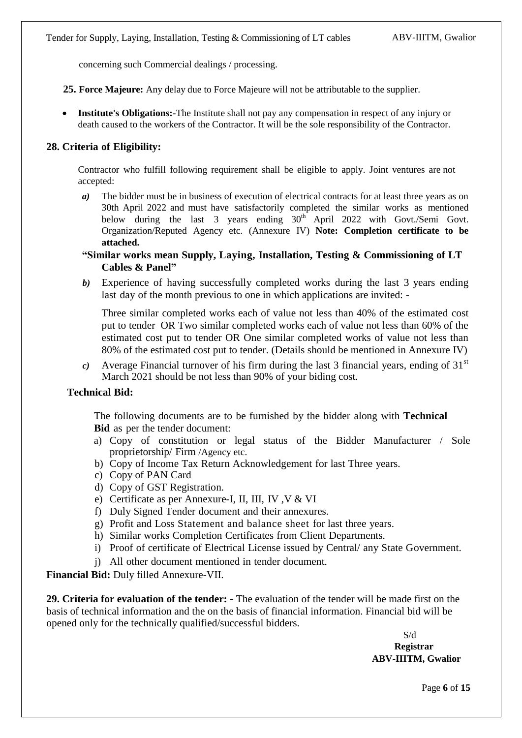concerning such Commercial dealings / processing.

**25. Force Majeure:** Any delay due to Force Majeure will not be attributable to the supplier.

 **Institute's Obligations:-**The Institute shall not pay any compensation in respect of any injury or death caused to the workers of the Contractor. It will be the sole responsibility of the Contractor.

## **28. Criteria of Eligibility:**

Contractor who fulfill following requirement shall be eligible to apply. Joint ventures are not accepted:

- *a*) The bidder must be in business of execution of electrical contracts for at least three years as on 30th April 2022 and must have satisfactorily completed the similar works as mentioned below during the last 3 years ending  $30<sup>th</sup>$  April 2022 with Govt./Semi Govt. Organization/Reputed Agency etc. (Annexure IV) **Note: Completion certificate to be attached.**
- **"Similar works mean Supply, Laying, Installation, Testing & Commissioning of LT Cables & Panel"**
- *b)* Experience of having successfully completed works during the last 3 years ending last day of the month previous to one in which applications are invited: -

Three similar completed works each of value not less than 40% of the estimated cost put to tender OR Two similar completed works each of value not less than 60% of the estimated cost put to tender OR One similar completed works of value not less than 80% of the estimated cost put to tender. (Details should be mentioned in Annexure IV)

*c*) Average Financial turnover of his firm during the last 3 financial years, ending of  $31<sup>st</sup>$ March 2021 should be not less than 90% of your biding cost.

### **Technical Bid:**

The following documents are to be furnished by the bidder along with **Technical Bid** as per the tender document:

- a) Copy of constitution or legal status of the Bidder Manufacturer / Sole proprietorship/ Firm /Agency etc.
- b) Copy of Income Tax Return Acknowledgement for last Three years.
- c) Copy of PAN Card
- d) Copy of GST Registration.
- e) Certificate as per Annexure-I, II, III, IV ,V & VI
- f) Duly Signed Tender document and their annexures.
- g) Profit and Loss Statement and balance sheet for last three years.
- h) Similar works Completion Certificates from Client Departments.
- i) Proof of certificate of Electrical License issued by Central/ any State Government.
- j) All other document mentioned in tender document.

**Financial Bid:** Duly filled Annexure-VII.

**29. Criteria for evaluation of the tender: -** The evaluation of the tender will be made first on the basis of technical information and the on the basis of financial information. Financial bid will be opened only for the technically qualified/successful bidders.

> S/d **Registrar ABV-IIITM, Gwalior**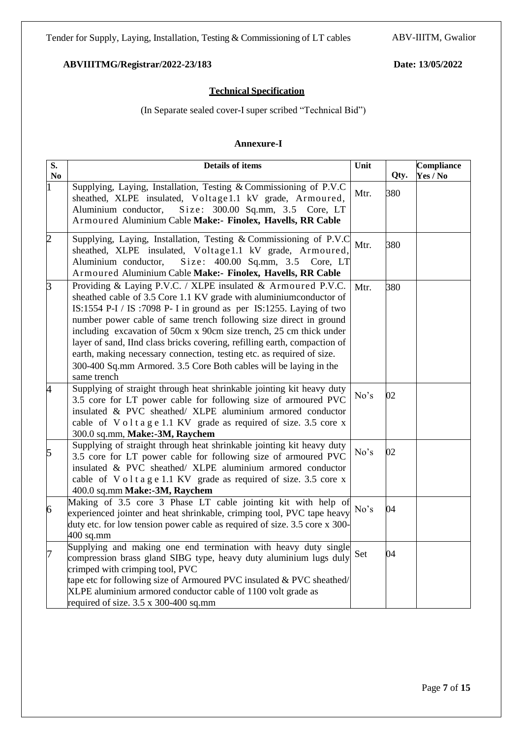Page **7** of **15**

# **ABVIIITMG/Registrar/2022-23/183 Date: 13/05/2022**

# **Technical Specification**

(In Separate sealed cover-I super scribed "Technical Bid")

# **Annexure-I**

| S.             | <b>Details of items</b>                                                                                                                                                                                                                                                                                                                                                                                                                                                                                                                                                                        | Unit |      | Compliance |
|----------------|------------------------------------------------------------------------------------------------------------------------------------------------------------------------------------------------------------------------------------------------------------------------------------------------------------------------------------------------------------------------------------------------------------------------------------------------------------------------------------------------------------------------------------------------------------------------------------------------|------|------|------------|
| No             |                                                                                                                                                                                                                                                                                                                                                                                                                                                                                                                                                                                                |      | Qty. | Yes / No   |
|                | Supplying, Laying, Installation, Testing & Commissioning of P.V.C<br>sheathed, XLPE insulated, Voltage1.1 kV grade, Armoured,<br>Aluminium conductor,<br>Size: 300.00 Sq.mm, 3.5 Core, LT<br>Armoured Aluminium Cable Make:- Finolex, Havells, RR Cable                                                                                                                                                                                                                                                                                                                                        | Mtr. | 380  |            |
|                |                                                                                                                                                                                                                                                                                                                                                                                                                                                                                                                                                                                                |      |      |            |
| $\overline{2}$ | Supplying, Laying, Installation, Testing & Commissioning of P.V.C<br>sheathed, XLPE insulated, Voltage1.1 kV grade, Armoured,<br>Aluminium conductor,<br>Size: 400.00 Sq.mm, 3.5<br>Core, LT<br>Armoured Aluminium Cable Make:- Finolex, Havells, RR Cable                                                                                                                                                                                                                                                                                                                                     | Mtr. | 380  |            |
| $\overline{3}$ | Providing & Laying P.V.C. / XLPE insulated & Armoured P.V.C.<br>sheathed cable of 3.5 Core 1.1 KV grade with aluminium conductor of<br>IS:1554 P-I / IS:7098 P- I in ground as per IS:1255. Laying of two<br>number power cable of same trench following size direct in ground<br>including excavation of 50cm x 90cm size trench, 25 cm thick under<br>layer of sand, IInd class bricks covering, refilling earth, compaction of<br>earth, making necessary connection, testing etc. as required of size.<br>300-400 Sq.mm Armored. 3.5 Core Both cables will be laying in the<br>same trench | Mtr. | 380  |            |
| $\overline{A}$ | Supplying of straight through heat shrinkable jointing kit heavy duty<br>3.5 core for LT power cable for following size of armoured PVC<br>insulated & PVC sheathed/ XLPE aluminium armored conductor<br>cable of Voltage 1.1 KV grade as required of size. 3.5 core x<br>300.0 sq.mm, Make:-3M, Raychem                                                                                                                                                                                                                                                                                       | No's | 02   |            |
| 5              | Supplying of straight through heat shrinkable jointing kit heavy duty<br>3.5 core for LT power cable for following size of armoured PVC<br>insulated & PVC sheathed/ XLPE aluminium armored conductor<br>cable of Voltage 1.1 KV grade as required of size. 3.5 core x<br>400.0 sq.mm Make:-3M, Raychem                                                                                                                                                                                                                                                                                        | No's | 02   |            |
| 6              | Making of 3.5 core 3 Phase LT cable jointing kit with help of<br>experienced jointer and heat shrinkable, crimping tool, PVC tape heavy<br>duty etc. for low tension power cable as required of size. 3.5 core x 300-<br>$400$ sq.mm                                                                                                                                                                                                                                                                                                                                                           | No's | 04   |            |
| 17             | Supplying and making one end termination with heavy duty single<br>compression brass gland SIBG type, heavy duty aluminium lugs duly<br>crimped with crimping tool, PVC<br>tape etc for following size of Armoured PVC insulated $&$ PVC sheathed/<br>XLPE aluminium armored conductor cable of 1100 volt grade as<br>required of size. 3.5 x 300-400 sq.mm                                                                                                                                                                                                                                    | Set  | 04   |            |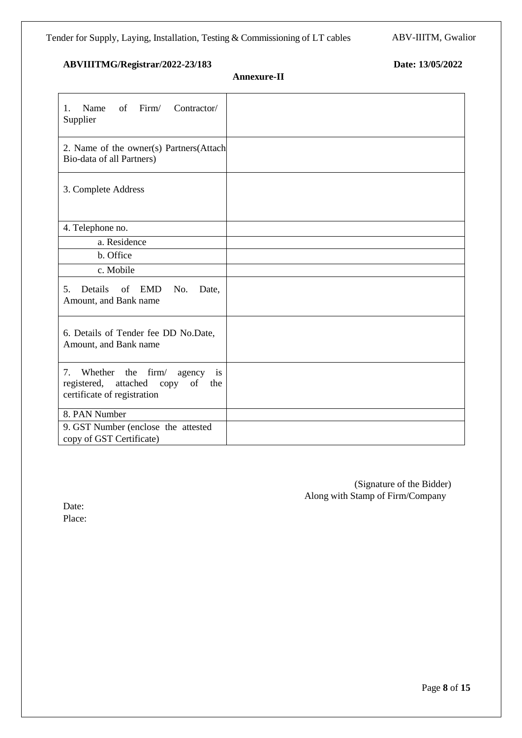**Annexure-II**

| Firm/<br>of<br>Contractor/<br>Name<br>1.<br>Supplier                                                                |  |
|---------------------------------------------------------------------------------------------------------------------|--|
| 2. Name of the owner(s) Partners(Attach<br>Bio-data of all Partners)                                                |  |
| 3. Complete Address                                                                                                 |  |
| 4. Telephone no.                                                                                                    |  |
| a. Residence                                                                                                        |  |
| b. Office                                                                                                           |  |
| c. Mobile                                                                                                           |  |
| Details<br>of EMD<br>No.<br>5.<br>Date,<br>Amount, and Bank name                                                    |  |
| 6. Details of Tender fee DD No.Date,<br>Amount, and Bank name                                                       |  |
| firm/<br>7.<br>Whether the<br>agency<br>is<br>registered, attached<br>copy<br>of the<br>certificate of registration |  |
| 8. PAN Number                                                                                                       |  |
| 9. GST Number (enclose the attested<br>copy of GST Certificate)                                                     |  |

(Signature of the Bidder) Along with Stamp of Firm/Company

Date: Place: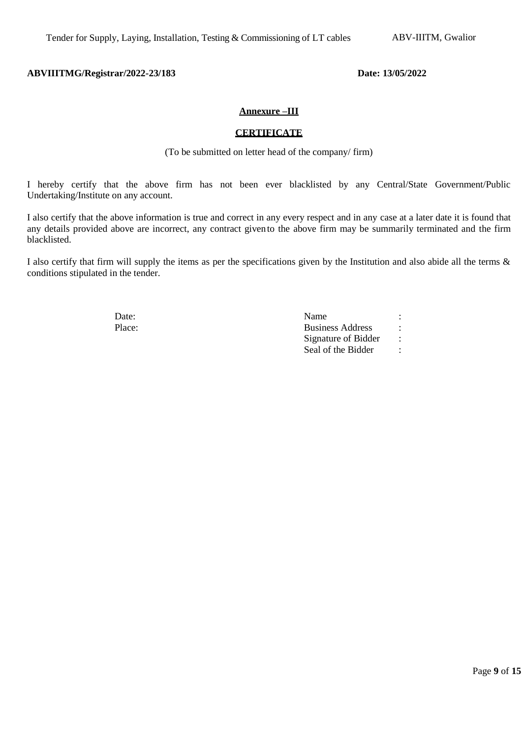### **Annexure –III**

### **CERTIFICATE**

(To be submitted on letter head of the company/ firm)

I hereby certify that the above firm has not been ever blacklisted by any Central/State Government/Public Undertaking/Institute on any account.

I also certify that the above information is true and correct in any every respect and in any case at a later date it is found that any details provided above are incorrect, any contract givento the above firm may be summarily terminated and the firm blacklisted.

I also certify that firm will supply the items as per the specifications given by the Institution and also abide all the terms & conditions stipulated in the tender.

| Date:  | Name                    |  |
|--------|-------------------------|--|
| Place: | <b>Business Address</b> |  |
|        | Signature of Bidder     |  |
|        | Seal of the Bidder      |  |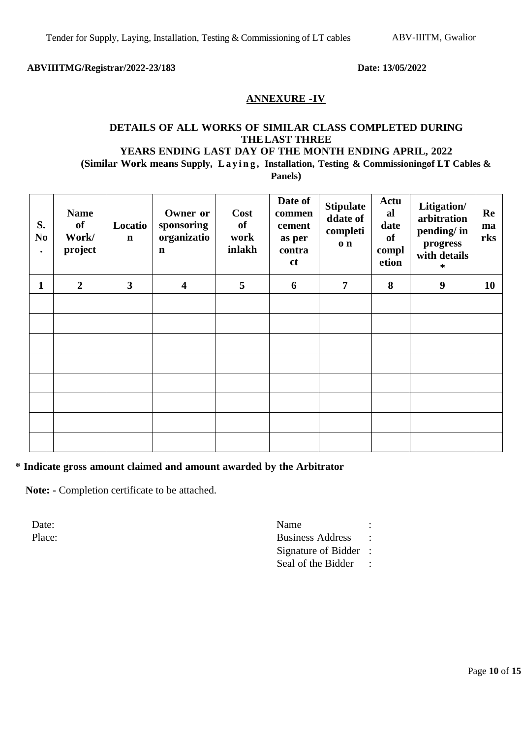# **ANNEXURE -IV**

# **DETAILS OF ALL WORKS OF SIMILAR CLASS COMPLETED DURING THE LAST THREE YEARS ENDING LAST DAY OF THE MONTH ENDING APRIL, 2022 (Similar Work means Supply, L a y i n g , Installation, Testing & Commissioningof LT Cables &**

**Panels)**

| S.<br>N <sub>o</sub><br>$\bullet$ | <b>Name</b><br>of<br>Work/<br>project | Locatio<br>$\mathbf n$  | Owner or<br>sponsoring<br>organizatio<br>$\mathbf n$ | <b>Cost</b><br>of<br>work<br>inlakh | Date of<br>commen<br>cement<br>as per<br>contra<br><b>ct</b> | <b>Stipulate</b><br>ddate of<br>completi<br>$\mathbf{o}$ n | Actu<br>al<br>date<br>of<br>compl<br>etion | Litigation/<br>arbitration<br>pending/ in<br>progress<br>with details<br>∗ | Re<br>ma<br>rks |
|-----------------------------------|---------------------------------------|-------------------------|------------------------------------------------------|-------------------------------------|--------------------------------------------------------------|------------------------------------------------------------|--------------------------------------------|----------------------------------------------------------------------------|-----------------|
| $\mathbf{1}$                      | $\overline{2}$                        | $\overline{\mathbf{3}}$ | $\overline{\mathbf{4}}$                              | 5                                   | 6                                                            | $\overline{7}$                                             | 8                                          | 9                                                                          | 10              |
|                                   |                                       |                         |                                                      |                                     |                                                              |                                                            |                                            |                                                                            |                 |
|                                   |                                       |                         |                                                      |                                     |                                                              |                                                            |                                            |                                                                            |                 |
|                                   |                                       |                         |                                                      |                                     |                                                              |                                                            |                                            |                                                                            |                 |
|                                   |                                       |                         |                                                      |                                     |                                                              |                                                            |                                            |                                                                            |                 |
|                                   |                                       |                         |                                                      |                                     |                                                              |                                                            |                                            |                                                                            |                 |
|                                   |                                       |                         |                                                      |                                     |                                                              |                                                            |                                            |                                                                            |                 |
|                                   |                                       |                         |                                                      |                                     |                                                              |                                                            |                                            |                                                                            |                 |
|                                   |                                       |                         |                                                      |                                     |                                                              |                                                            |                                            |                                                                            |                 |

### **\* Indicate gross amount claimed and amount awarded by the Arbitrator**

**Note: -** Completion certificate to be attached.

Date: Name : Name : Name : Name : Name : Name : Name : Name : Name : Name : Name : Name : Name : Name : Name :  $\mathbb{R}$ Place: Business Address : Signature of Bidder : Seal of the Bidder :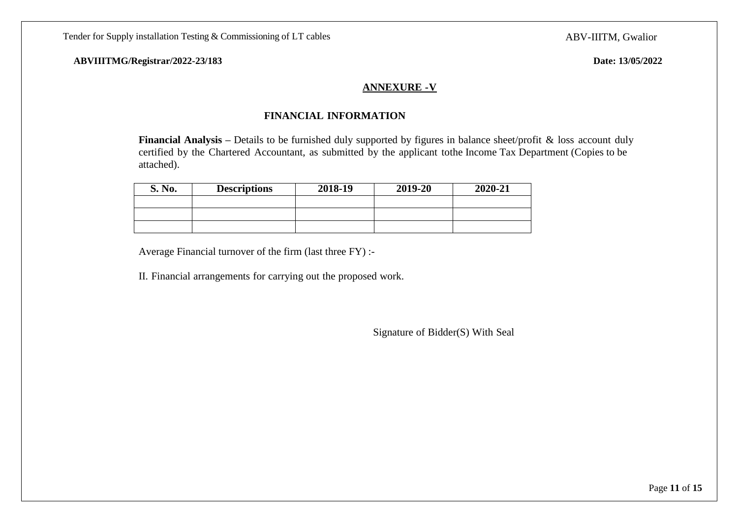# **ANNEXURE -V**

# **FINANCIAL INFORMATION**

**Financial Analysis** – Details to be furnished duly supported by figures in balance sheet/profit & loss account duly certified by the Chartered Accountant, as submitted by the applicant tothe Income Tax Department (Copies to be attached).

| S. No. | <b>Descriptions</b> | 2018-19 | 2019-20 | 2020-21 |
|--------|---------------------|---------|---------|---------|
|        |                     |         |         |         |
|        |                     |         |         |         |
|        |                     |         |         |         |

Average Financial turnover of the firm (last three FY) :-

II. Financial arrangements for carrying out the proposed work.

Signature of Bidder(S) With Seal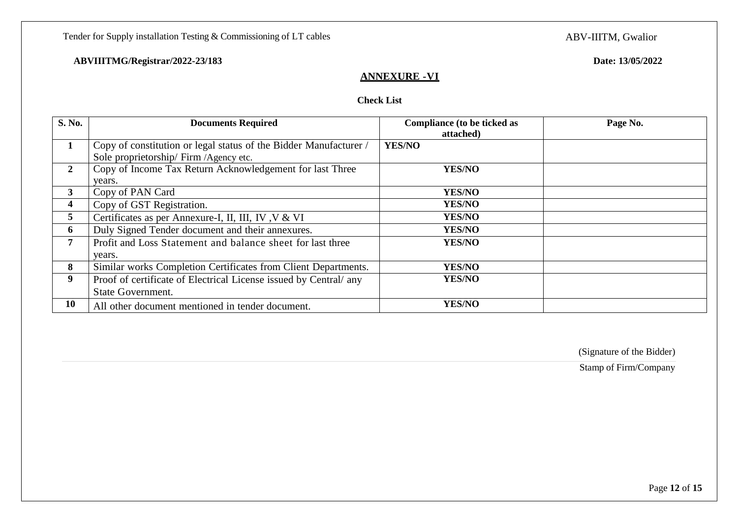Tender for Supply installation Testing & Commissioning of LT cables

ABV-IIITM, Gwalior

# **ABVIIITMG/Registrar/2022-23/183 Date: 13/05/2022**

# **ANNEXURE -VI**

# **Check List**

| S. No.         | <b>Documents Required</b>                                                                                 | Compliance (to be ticked as<br>attached) | Page No. |
|----------------|-----------------------------------------------------------------------------------------------------------|------------------------------------------|----------|
| 1              | Copy of constitution or legal status of the Bidder Manufacturer<br>Sole proprietorship/ Firm /Agency etc. | <b>YES/NO</b>                            |          |
| $\overline{2}$ | Copy of Income Tax Return Acknowledgement for last Three<br>years.                                        | <b>YES/NO</b>                            |          |
| 3              | Copy of PAN Card                                                                                          | <b>YES/NO</b>                            |          |
| 4              | Copy of GST Registration.                                                                                 | <b>YES/NO</b>                            |          |
| 5              | Certificates as per Annexure-I, II, III, IV, V & VI                                                       | <b>YES/NO</b>                            |          |
| 6              | Duly Signed Tender document and their annexures.                                                          | <b>YES/NO</b>                            |          |
| 7              | Profit and Loss Statement and balance sheet for last three                                                | YES/NO                                   |          |
|                | years.                                                                                                    |                                          |          |
| 8              | Similar works Completion Certificates from Client Departments.                                            | <b>YES/NO</b>                            |          |
| 9              | Proof of certificate of Electrical License issued by Central/ any                                         | <b>YES/NO</b>                            |          |
|                | State Government.                                                                                         |                                          |          |
| 10             | All other document mentioned in tender document.                                                          | YES/NO                                   |          |

(Signature of the Bidder)

Stamp of Firm/Company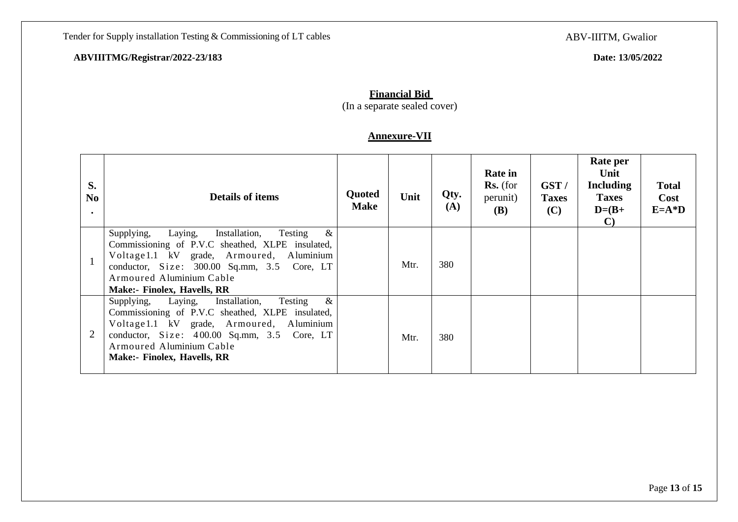ABV-IIITM, Gwalior

# **Financial Bid**

(In a separate sealed cover)

# **Annexure-VII**

| S.<br>N <sub>o</sub><br>$\bullet$ | <b>Details of items</b>                                                                                                                                                                                                                                              | Quoted<br><b>Make</b> | Unit | Qty.<br>(A) | <b>Rate in</b><br>$\mathbf{Rs.}$ (for<br>perunit)<br><b>(B)</b> | GST/<br><b>Taxes</b><br>(C) | Rate per<br>Unit<br><b>Including</b><br><b>Taxes</b><br>$D=(B+$<br>$\mathbf{C}$ | <b>Total</b><br>Cost<br>$E=A^*D$ |
|-----------------------------------|----------------------------------------------------------------------------------------------------------------------------------------------------------------------------------------------------------------------------------------------------------------------|-----------------------|------|-------------|-----------------------------------------------------------------|-----------------------------|---------------------------------------------------------------------------------|----------------------------------|
|                                   | $\&$<br>Supplying,<br>Installation,<br>Testing<br>Laying,<br>Commissioning of P.V.C sheathed, XLPE insulated,<br>Voltage 1.1 kV grade, Armoured, Aluminium<br>conductor, Size: 300.00 Sq.mm, 3.5 Core, LT<br>Armoured Aluminium Cable<br>Make:- Finolex, Havells, RR |                       | Mtr. | 380         |                                                                 |                             |                                                                                 |                                  |
|                                   | $\&$<br>Supplying, Laying, Installation,<br>Testing<br>Commissioning of P.V.C sheathed, XLPE insulated,<br>Voltage 1.1 kV grade, Armoured, Aluminium<br>conductor, Size: 400.00 Sq.mm, 3.5 Core, LT<br>Armoured Aluminium Cable<br>Make:- Finolex, Havells, RR       |                       | Mtr. | 380         |                                                                 |                             |                                                                                 |                                  |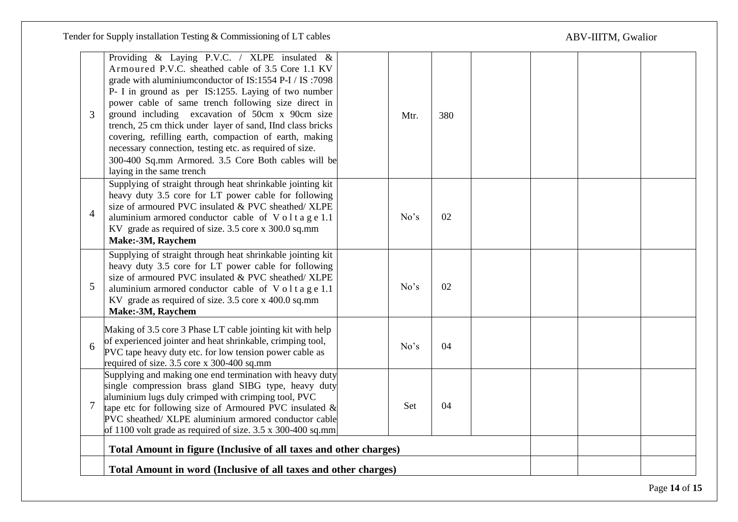Tender for Supply installation Testing & Commissioning of LT cables

# ABV-IIITM, Gwalior

| 3              | Providing & Laying P.V.C. / XLPE insulated &<br>Armoured P.V.C. sheathed cable of 3.5 Core 1.1 KV<br>grade with aluminium conductor of IS:1554 P-I / IS:7098<br>P- I in ground as per IS:1255. Laying of two number<br>power cable of same trench following size direct in<br>ground including excavation of 50cm x 90cm size<br>trench, 25 cm thick under layer of sand, IInd class bricks<br>covering, refilling earth, compaction of earth, making<br>necessary connection, testing etc. as required of size.<br>300-400 Sq.mm Armored. 3.5 Core Both cables will be<br>laying in the same trench | Mtr. | 380 |  |  |
|----------------|------------------------------------------------------------------------------------------------------------------------------------------------------------------------------------------------------------------------------------------------------------------------------------------------------------------------------------------------------------------------------------------------------------------------------------------------------------------------------------------------------------------------------------------------------------------------------------------------------|------|-----|--|--|
| $\overline{4}$ | Supplying of straight through heat shrinkable jointing kit<br>heavy duty 3.5 core for LT power cable for following<br>size of armoured PVC insulated & PVC sheathed/ XLPE<br>aluminium armored conductor cable of Voltage 1.1<br>KV grade as required of size. 3.5 core x 300.0 sq.mm<br>Make:-3M, Raychem                                                                                                                                                                                                                                                                                           | No's | 02  |  |  |
| 5              | Supplying of straight through heat shrinkable jointing kit<br>heavy duty 3.5 core for LT power cable for following<br>size of armoured PVC insulated & PVC sheathed/ XLPE<br>aluminium armored conductor cable of Voltage 1.1<br>KV grade as required of size. 3.5 core x 400.0 sq.mm<br>Make:-3M, Raychem                                                                                                                                                                                                                                                                                           | No's | 02  |  |  |
| 6              | Making of 3.5 core 3 Phase LT cable jointing kit with help<br>of experienced jointer and heat shrinkable, crimping tool,<br>PVC tape heavy duty etc. for low tension power cable as<br>required of size. 3.5 core x 300-400 sq.mm                                                                                                                                                                                                                                                                                                                                                                    | No's | 04  |  |  |
| $\tau$         | Supplying and making one end termination with heavy duty<br>single compression brass gland SIBG type, heavy duty<br>aluminium lugs duly crimped with crimping tool, PVC<br>tape etc for following size of Armoured PVC insulated $\&$<br>PVC sheathed/ XLPE aluminium armored conductor cable<br>of 1100 volt grade as required of size. 3.5 x 300-400 sq.mm                                                                                                                                                                                                                                         | Set  | 04  |  |  |
|                | Total Amount in figure (Inclusive of all taxes and other charges)<br>Total Amount in word (Inclusive of all taxes and other charges)                                                                                                                                                                                                                                                                                                                                                                                                                                                                 |      |     |  |  |